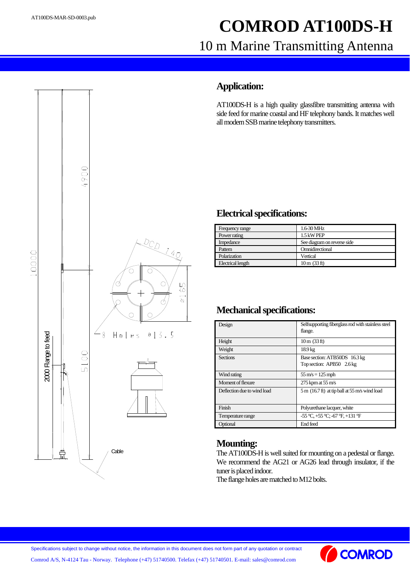# **COMROD AT100DS-H** 10 m Marine Transmitting Antenna



#### **Application:**

AT100DS-H is a high quality glassfibre transmitting antenna with side feed for marine coastal and HF telephony bands. It matches well all modern SSB marine telephony transmitters.

#### **Electrical specifications:**

| Frequency range          | 1.6-30 MHz                     |
|--------------------------|--------------------------------|
| Power rating             | 1.5 kW PEP                     |
| Impedance                | See diagram on reverse side    |
| Pattern                  | Omnidirectional                |
| Polarization             | Vertical                       |
| <b>Electrical length</b> | $10 \text{ m} (33 \text{ ft})$ |

## **Mechanical specifications:**

| Design                      | Selfsupporting fiberglass rod with stainless steel<br>flange.       |
|-----------------------------|---------------------------------------------------------------------|
| Height                      | $10 \text{ m} (33 \text{ ft})$                                      |
| Weight                      | 18.9 <sub>kg</sub>                                                  |
| <b>Sections</b>             | Base section: ATB50DS 16.3 kg<br>Top section: APB50 2.6 kg          |
| Wind rating                 | $55 \text{ m/s} = 125 \text{ mph}$                                  |
| Moment of flexure           | $275$ kpm at $55$ m/s                                               |
| Deflection due to wind load | $5 \text{ m}$ (16.7 ft) at tip ball at $55 \text{ m/s}$ wind load   |
| Finish                      | Polyurethane lacquer, white                                         |
| Temperature range           | $-55^{\circ}$ C, $+55^{\circ}$ C; $-67^{\circ}$ F, $+131^{\circ}$ F |
| Optional                    | End feed                                                            |

## **Mounting:**

The AT100DS-H is well suited for mounting on a pedestal or flange. We recommend the AG21 or AG26 lead through insulator, if the tuner is placed indoor.

The flange holes are matched to M12 bolts.



Comrod A/S, N-4124 Tau - Norway. Telephone (+47) 51740500. Telefax (+47) 51740501. E-mail: sales@comrod.com